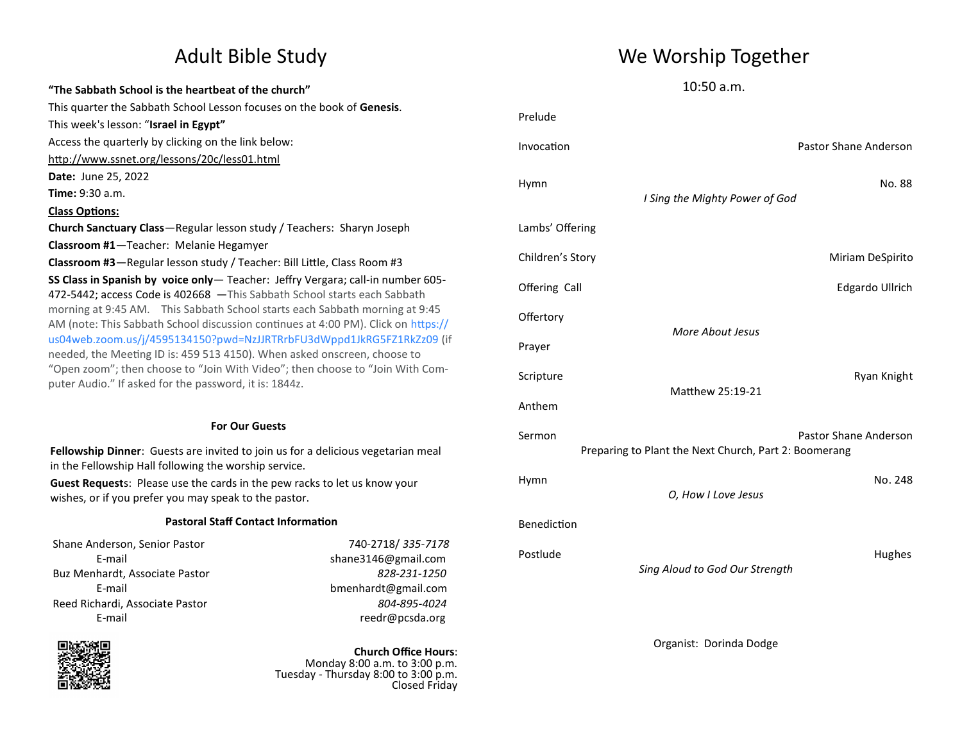## **"The Sabbath School is the heartbeat of the church"** This quarter the Sabbath School Lesson focuses on the book of **Genesis**. This week's lesson: "**Israel in Egypt"** Access the quarterly by clicking on the link below: <http://www.ssnet.org/lessons/20c/less01.html> **Date:** June 25, 2022 **Time:** 9:30 a.m. **Class Options: Church Sanctuary Class**—Regular lesson study / Teachers: Sharyn Joseph **Classroom #1**—Teacher: Melanie Hegamyer **Classroom #3**—Regular lesson study / Teacher: Bill Little, Class Room #3 **SS Class in Spanish by voice only**— Teacher: Jeffry Vergara; call-in number 605- 472-5442; access Code is 402668 —This Sabbath School starts each Sabbath morning at 9:45 AM. This Sabbath School starts each Sabbath morning at 9:45 AM (note: This Sabbath School discussion continues at 4:00 PM). Click on https:// us04web.zoom.us/j/4595134150?pwd=NzJJRTRrbFU3dWppd1JkRG5FZ1RkZz09 (if needed, the Meeting ID is: 459 513 4150). When asked onscreen, choose to "Open zoom"; then choose to "Join With Video"; then choose to "Join With Computer Audio." If asked for the password, it is: 1844z.

### **For Our Guests**

**Fellowship Dinner**: Guests are invited to join us for a delicious vegetarian meal in the Fellowship Hall following the worship service.

**Guest Request**s: Please use the cards in the pew racks to let us know your wishes, or if you prefer you may speak to the pastor.

### **Pastoral Staff Contact Information**

Shane Anderson, Senior Pastor 740-2718/ *335-7178* Buz Menhardt, Associate Pastor *828-231-1250* Reed Richardi, Associate Pastor *804-895-4024*

E-mail shane3146@gmail.com E-mail bmenhardt@gmail.com E-mail reedr@pcsda.org



**Church Office Hours**: Monday 8:00 a.m. to 3:00 p.m. Tuesday - Thursday 8:00 to 3:00 p.m. Closed Friday

# Adult Bible Study News Me Worship Together

10:50 a.m.

| Prelude                                                                                  |                                |                       |  |  |
|------------------------------------------------------------------------------------------|--------------------------------|-----------------------|--|--|
| Invocation                                                                               |                                | Pastor Shane Anderson |  |  |
| Hymn                                                                                     | I Sing the Mighty Power of God | No. 88                |  |  |
| Lambs' Offering                                                                          |                                |                       |  |  |
| Children's Story                                                                         |                                | Miriam DeSpirito      |  |  |
| Offering Call                                                                            |                                | Edgardo Ullrich       |  |  |
| Offertory                                                                                |                                |                       |  |  |
| Prayer                                                                                   | More About Jesus               |                       |  |  |
| Scripture                                                                                |                                | Ryan Knight           |  |  |
| Anthem                                                                                   | Matthew 25:19-21               |                       |  |  |
| Pastor Shane Anderson<br>Sermon<br>Preparing to Plant the Next Church, Part 2: Boomerang |                                |                       |  |  |
| Hymn                                                                                     | O, How I Love Jesus            | No. 248               |  |  |
| Benediction                                                                              |                                |                       |  |  |
| Postlude                                                                                 | Sing Aloud to God Our Strength | Hughes                |  |  |
|                                                                                          | Organist: Dorinda Dodge        |                       |  |  |